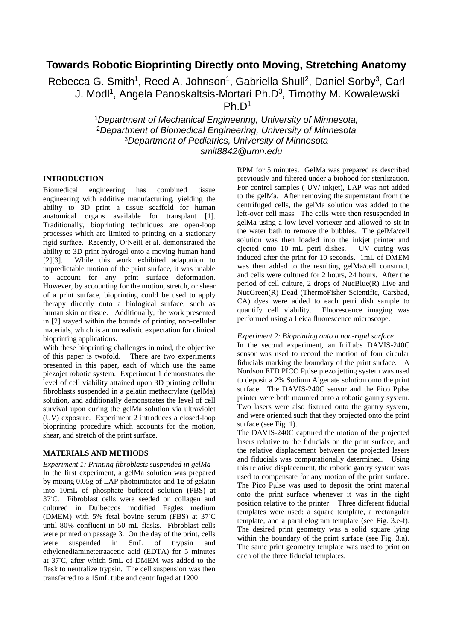# **Towards Robotic Bioprinting Directly onto Moving, Stretching Anatomy**

Rebecca G. Smith<sup>1</sup>, Reed A. Johnson<sup>1</sup>, Gabriella Shull<sup>2</sup>, Daniel Sorby<sup>3</sup>, Carl J. Modl<sup>1</sup>, Angela Panoskaltsis-Mortari Ph.D<sup>3</sup>, Timothy M. Kowalewski Ph.  $D<sup>1</sup>$ 

> *Department of Mechanical Engineering, University of Minnesota, Department of Biomedical Engineering, University of Minnesota Department of Pediatrics, University of Minnesota smit8842@umn.edu*

# **INTRODUCTION**

Biomedical engineering has combined tissue engineering with additive manufacturing, yielding the ability to 3D print a tissue scaffold for human anatomical organs available for transplant [1]. Traditionally, bioprinting techniques are open-loop processes which are limited to printing on a stationary rigid surface. Recently, O'Neill et al. demonstrated the ability to 3D print hydrogel onto a moving human hand [2][3]. While this work exhibited adaptation to unpredictable motion of the print surface, it was unable to account for any print surface deformation. However, by accounting for the motion, stretch, or shear of a print surface, bioprinting could be used to apply therapy directly onto a biological surface, such as human skin or tissue. Additionally, the work presented in [2] stayed within the bounds of printing non-cellular materials, which is an unrealistic expectation for clinical bioprinting applications.

With these bioprinting challenges in mind, the objective of this paper is twofold. There are two experiments presented in this paper, each of which use the same piezojet robotic system. Experiment 1 demonstrates the level of cell viability attained upon 3D printing cellular fibroblasts suspended in a gelatin methacrylate (gelMa) solution, and additionally demonstrates the level of cell survival upon curing the gelMa solution via ultraviolet (UV) exposure. Experiment 2 introduces a closed-loop bioprinting procedure which accounts for the motion, shear, and stretch of the print surface.

## **MATERIALS AND METHODS**

*Experiment 1: Printing fibroblasts suspended in gelMa*  In the first experiment, a gelMa solution was prepared by mixing 0.05g of LAP photoinitiator and 1g of gelatin into 10mL of phosphate buffered solution (PBS) at 37⸰C. Fibroblast cells were seeded on collagen and cultured in Dulbeccos modified Eagles medium (DMEM) with 5% fetal bovine serum (FBS) at  $37^{\circ}$ C until 80% confluent in 50 mL flasks. Fibroblast cells were printed on passage 3. On the day of the print, cells were suspended in 5mL of trypsin and ethylenediaminetetraacetic acid (EDTA) for 5 minutes at 37⸰C, after which 5mL of DMEM was added to the flask to neutralize trypsin. The cell suspension was then transferred to a 15mL tube and centrifuged at 1200

RPM for 5 minutes. GelMa was prepared as described previously and filtered under a biohood for sterilization. For control samples (-UV/-inkjet), LAP was not added to the gelMa. After removing the supernatant from the centrifuged cells, the gelMa solution was added to the left-over cell mass. The cells were then resuspended in gelMa using a low level vortexer and allowed to sit in the water bath to remove the bubbles. The gelMa/cell solution was then loaded into the inkjet printer and ejected onto 10 mL petri dishes. UV curing was induced after the print for 10 seconds. 1mL of DMEM was then added to the resulting gelMa/cell construct, and cells were cultured for 2 hours, 24 hours. After the period of cell culture, 2 drops of NucBlue(R) Live and NucGreen(R) Dead (ThermoFisher Scientific, Carsbad, CA) dyes were added to each petri dish sample to quantify cell viability. Fluorescence imaging was performed using a Leica fluorescence microscope.

## *Experiment 2: Bioprinting onto a non-rigid surface*

In the second experiment, an IniLabs DAVIS-240C sensor was used to record the motion of four circular fiducials marking the boundary of the print surface. A Nordson EFD PICO Pμlse piezo jetting system was used to deposit a 2% Sodium Algenate solution onto the print surface. The DAVIS-240C sensor and the Pico Pulse printer were both mounted onto a robotic gantry system. Two lasers were also fixtured onto the gantry system, and were oriented such that they projected onto the print surface (see Fig. 1).

The DAVIS-240C captured the motion of the projected lasers relative to the fiducials on the print surface, and the relative displacement between the projected lasers and fiducials was computationally determined. Using this relative displacement, the robotic gantry system was used to compensate for any motion of the print surface. The Pico Pμlse was used to deposit the print material onto the print surface whenever it was in the right position relative to the printer. Three different fiducial templates were used: a square template, a rectangular template, and a parallelogram template (see Fig. 3.e-f). The desired print geometry was a solid square lying within the boundary of the print surface (see Fig. 3.a). The same print geometry template was used to print on each of the three fiducial templates.